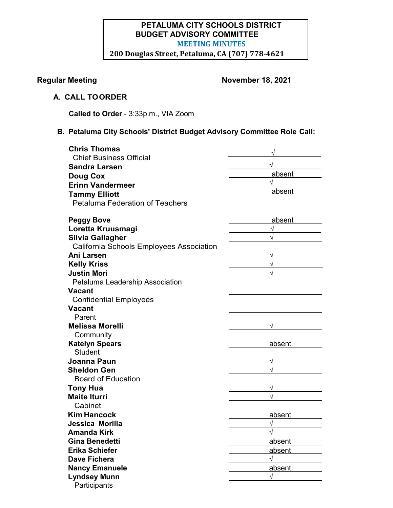# **PETALUMA CITY SCHOOLS DISTRICT BUDGET ADVISORY COMMITTEE MEETING MINUTES 200 Douglas Street, Petaluma, CA (707) 778-4621**

# **Regular Meeting November 18, 2021**

# **A. CALL TOORDER**

**Called to Order** - 3:33p.m., VIA Zoom

# **B. Petaluma City Schools' District Budget Advisory Committee Role Call:**

| <b>Chris Thomas</b>                      |        |
|------------------------------------------|--------|
| <b>Chief Business Official</b>           |        |
| <b>Sandra Larsen</b>                     |        |
| <b>Doug Cox</b>                          | absent |
| <b>Erinn Vandermeer</b>                  |        |
| <b>Tammy Elliott</b>                     | absent |
| <b>Petaluma Federation of Teachers</b>   |        |
| <b>Peggy Bove</b>                        | absent |
| Loretta Kruusmagi                        |        |
| <b>Silvia Gallagher</b>                  |        |
| California Schools Employees Association |        |
| <b>Ani Larsen</b>                        |        |
| <b>Kelly Kriss</b>                       |        |
| <b>Justin Mori</b>                       |        |
| Petaluma Leadership Association          |        |
| <b>Vacant</b>                            |        |
| <b>Confidential Employees</b>            |        |
| <b>Vacant</b>                            |        |
| Parent                                   |        |
| <b>Melissa Morelli</b>                   |        |
| Community                                |        |
| <b>Katelyn Spears</b>                    | absent |
| <b>Student</b>                           |        |
| Joanna Paun                              |        |
| <b>Sheldon Gen</b>                       |        |
| <b>Board of Education</b>                |        |
| <b>Tony Hua</b>                          |        |
| <b>Maite Iturri</b>                      |        |
| Cabinet                                  |        |
| <b>Kim Hancock</b>                       | absent |
| Jessica Morilla                          |        |
| Amanda Kirk                              |        |
| <b>Gina Benedetti</b>                    | absent |
| <b>Erika Schiefer</b>                    | absent |
| <b>Dave Fichera</b>                      |        |
| <b>Nancy Emanuele</b>                    | absent |
| <b>Lyndsey Munn</b>                      |        |
| Participants                             |        |